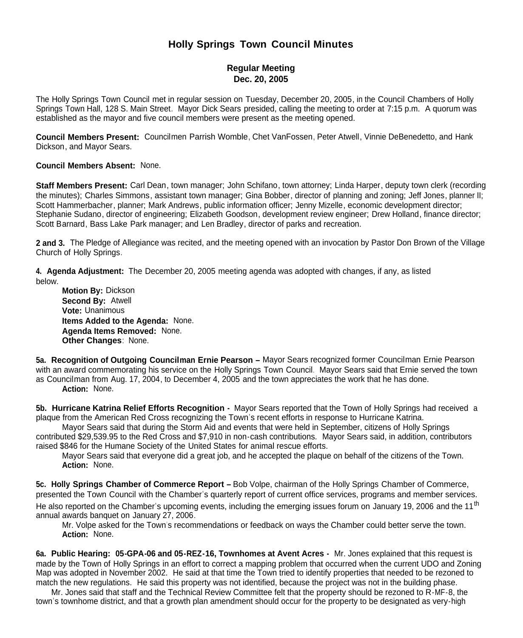# **Holly Springs Town Council Minutes**

## **Regular Meeting Dec. 20, 2005**

The Holly Springs Town Council met in regular session on Tuesday, December 20, 2005, in the Council Chambers of Holly Springs Town Hall, 128 S. Main Street. Mayor Dick Sears presided, calling the meeting to order at 7:15 p.m. A quorum was established as the mayor and five council members were present as the meeting opened.

**Council Members Present:** Councilmen Parrish Womble, Chet VanFossen, Peter Atwell, Vinnie DeBenedetto, and Hank Dickson, and Mayor Sears.

**Council Members Absent:** None.

**Staff Members Present:** Carl Dean, town manager; John Schifano, town attorney; Linda Harper, deputy town clerk (recording the minutes); Charles Simmons, assistant town manager; Gina Bobber, director of planning and zoning; Jeff Jones, planner II; Scott Hammerbacher, planner; Mark Andrews, public information officer; Jenny Mizelle, economic development director; Stephanie Sudano, director of engineering; Elizabeth Goodson, development review engineer; Drew Holland, finance director; Scott Barnard, Bass Lake Park manager; and Len Bradley, director of parks and recreation.

**2 and 3.** The Pledge of Allegiance was recited, and the meeting opened with an invocation by Pastor Don Brown of the Village Church of Holly Springs.

**4. Agenda Adjustment:** The December 20, 2005 meeting agenda was adopted with changes, if any, as listed below.

**Motion By:** Dickson **Second By:** Atwell **Vote:** Unanimous **Items Added to the Agenda:** None. **Agenda Items Removed:** None. **Other Changes**: None.

**5a. Recognition of Outgoing Councilman Ernie Pearson –** Mayor Sears recognized former Councilman Ernie Pearson with an award commemorating his service on the Holly Springs Town Council. Mayor Sears said that Ernie served the town as Councilman from Aug. 17, 2004, to December 4, 2005 and the town appreciates the work that he has done. **Action:** None.

**5b. Hurricane Katrina Relief Efforts Recognition -** Mayor Sears reported that the Town of Holly Springs had received a plaque from the American Red Cross recognizing the Town's recent efforts in response to Hurricane Katrina.

Mayor Sears said that during the Storm Aid and events that were held in September, citizens of Holly Springs contributed \$29,539.95 to the Red Cross and \$7,910 in non-cash contributions. Mayor Sears said, in addition, contributors raised \$846 for the Humane Society of the United States for animal rescue efforts.

Mayor Sears said that everyone did a great job, and he accepted the plaque on behalf of the citizens of the Town. **Action:** None.

**5c. Holly Springs Chamber of Commerce Report –** Bob Volpe, chairman of the Holly Springs Chamber of Commerce, presented the Town Council with the Chamber's quarterly report of current office services, programs and member services. He also reported on the Chamber's upcoming events, including the emerging issues forum on January 19, 2006 and the 11<sup>th</sup> annual awards banquet on January 27, 2006.

Mr. Volpe asked for the Town's recommendations or feedback on ways the Chamber could better serve the town. **Action:** None.

**6a. Public Hearing: 05-GPA-06 and 05-REZ-16, Townhomes at Avent Acres -** Mr. Jones explained that this request is made by the Town of Holly Springs in an effort to correct a mapping problem that occurred when the current UDO and Zoning Map was adopted in November 2002. He said at that time the Town tried to identify properties that needed to be rezoned to match the new regulations. He said this property was not identified, because the project was not in the building phase.

Mr. Jones said that staff and the Technical Review Committee felt that the property should be rezoned to R-MF-8, the town's townhome district, and that a growth plan amendment should occur for the property to be designated as very-high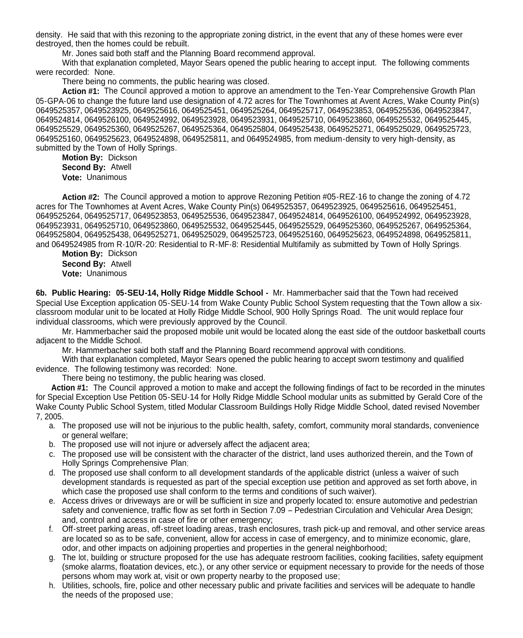density. He said that with this rezoning to the appropriate zoning district, in the event that any of these homes were ever destroyed, then the homes could be rebuilt.

Mr. Jones said both staff and the Planning Board recommend approval.

With that explanation completed, Mayor Sears opened the public hearing to accept input. The following comments were recorded: None.

There being no comments, the public hearing was closed.

**Action #1:** The Council approved a motion to approve an amendment to the Ten-Year Comprehensive Growth Plan 05-GPA-06 to change the future land use designation of 4.72 acres for The Townhomes at Avent Acres, Wake County Pin(s) 0649525357, 0649523925, 0649525616, 0649525451, 0649525264, 0649525717, 0649523853, 0649525536, 0649523847, 0649524814, 0649526100, 0649524992, 0649523928, 0649523931, 0649525710, 0649523860, 0649525532, 0649525445, 0649525529, 0649525360, 0649525267, 0649525364, 0649525804, 0649525438, 0649525271, 0649525029, 0649525723, 0649525160, 0649525623, 0649524898, 0649525811, and 0649524985, from medium-density to very high-density, as submitted by the Town of Holly Springs.

**Motion By:** Dickson **Second By:** Atwell **Vote:** Unanimous

**Action #2:** The Council approved a motion to approve Rezoning Petition #05-REZ-16 to change the zoning of 4.72 acres for The Townhomes at Avent Acres, Wake County Pin(s) 0649525357, 0649523925, 0649525616, 0649525451, 0649525264, 0649525717, 0649523853, 0649525536, 0649523847, 0649524814, 0649526100, 0649524992, 0649523928, 0649523931, 0649525710, 0649523860, 0649525532, 0649525445, 0649525529, 0649525360, 0649525267, 0649525364, 0649525804, 0649525438, 0649525271, 0649525029, 0649525723, 0649525160, 0649525623, 0649524898, 0649525811, and 0649524985 from R-10/R-20: Residential to R-MF-8: Residential Multifamily as submitted by Town of Holly Springs.

**Motion By:** Dickson **Second By:** Atwell **Vote:** Unanimous

**6b. Public Hearing: 05-SEU-14, Holly Ridge Middle School -** Mr. Hammerbacher said that the Town had received Special Use Exception application 05-SEU-14 from Wake County Public School System requesting that the Town allow a sixclassroom modular unit to be located at Holly Ridge Middle School, 900 Holly Springs Road. The unit would replace four individual classrooms, which were previously approved by the Council.

Mr. Hammerbacher said the proposed mobile unit would be located along the east side of the outdoor basketball courts adjacent to the Middle School.

Mr. Hammerbacher said both staff and the Planning Board recommend approval with conditions.

With that explanation completed, Mayor Sears opened the public hearing to accept sworn testimony and qualified evidence. The following testimony was recorded: None.

There being no testimony, the public hearing was closed.

**Action #1:** The Council approved a motion to make and accept the following findings of fact to be recorded in the minutes for Special Exception Use Petition 05-SEU-14 for Holly Ridge Middle School modular units as submitted by Gerald Core of the Wake County Public School System, titled Modular Classroom Buildings Holly Ridge Middle School, dated revised November 7, 2005.

- a. The proposed use will not be injurious to the public health, safety, comfort, community moral standards, convenience or general welfare;
- b. The proposed use will not injure or adversely affect the adjacent area;
- c. The proposed use will be consistent with the character of the district, land uses authorized therein, and the Town of Holly Springs Comprehensive Plan;
- d. The proposed use shall conform to all development standards of the applicable district (unless a waiver of such development standards is requested as part of the special exception use petition and approved as set forth above, in which case the proposed use shall conform to the terms and conditions of such waiver).
- e. Access drives or driveways are or will be sufficient in size and properly located to: ensure automotive and pedestrian safety and convenience, traffic flow as set forth in Section 7.09 – Pedestrian Circulation and Vehicular Area Design; and, control and access in case of fire or other emergency;
- f. Off-street parking areas, off-street loading areas, trash enclosures, trash pick-up and removal, and other service areas are located so as to be safe, convenient, allow for access in case of emergency, and to minimize economic, glare, odor, and other impacts on adjoining properties and properties in the general neighborhood;
- g. The lot, building or structure proposed for the use has adequate restroom facilities, cooking facilities, safety equipment (smoke alarms, floatation devices, etc.), or any other service or equipment necessary to provide for the needs of those persons whom may work at, visit or own property nearby to the proposed use;
- h. Utilities, schools, fire, police and other necessary public and private facilities and services will be adequate to handle the needs of the proposed use;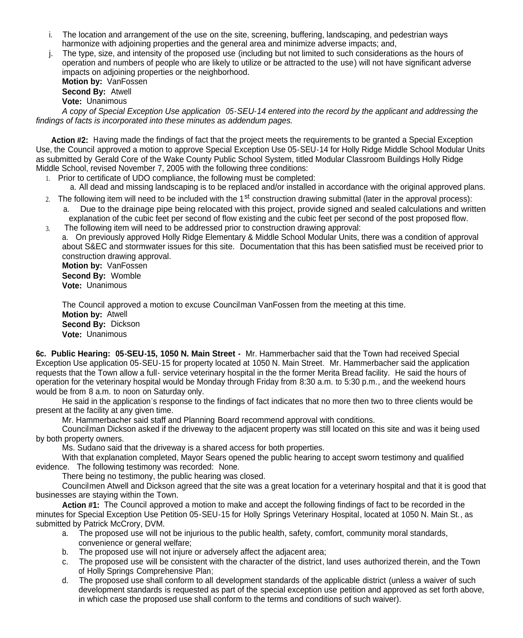- i. The location and arrangement of the use on the site, screening, buffering, landscaping, and pedestrian ways harmonize with adjoining properties and the general area and minimize adverse impacts; and,
- j. The type, size, and intensity of the proposed use (including but not limited to such considerations as the hours of operation and numbers of people who are likely to utilize or be attracted to the use) will not have significant adverse impacts on adjoining properties or the neighborhood.

**Motion by:** VanFossen **Second By:** Atwell **Vote:** Unanimous

*A copy of Special Exception Use application 05-SEU-14 entered into the record by the applicant and addressing the findings of facts is incorporated into these minutes as addendum pages.*

**Action #2:** Having made the findings of fact that the project meets the requirements to be granted a Special Exception Use, the Council approved a motion to approve Special Exception Use 05-SEU-14 for Holly Ridge Middle School Modular Units as submitted by Gerald Core of the Wake County Public School System, titled Modular Classroom Buildings Holly Ridge Middle School, revised November 7, 2005 with the following three conditions:

- 1. Prior to certificate of UDO compliance, the following must be completed:
	- a. All dead and missing landscaping is to be replaced and/or installed in accordance with the original approved plans.
- 2. The following item will need to be included with the 1<sup>st</sup> construction drawing submittal (later in the approval process): a. Due to the drainage pipe being relocated with this project, provide signed and sealed calculations and written explanation of the cubic feet per second of flow existing and the cubic feet per second of the post proposed flow.
- 3. The following item will need to be addressed prior to construction drawing approval: a. On previously approved Holly Ridge Elementary & Middle School Modular Units, there was a condition of approval about S&EC and stormwater issues for this site. Documentation that this has been satisfied must be received prior to construction drawing approval.

**Motion by:** VanFossen **Second By:** Womble **Vote:** Unanimous

The Council approved a motion to excuse Councilman VanFossen from the meeting at this time. **Motion by:** Atwell **Second By:** Dickson **Vote:** Unanimous

**6c. Public Hearing: 05-SEU-15, 1050 N. Main Street -** Mr. Hammerbacher said that the Town had received Special Exception Use application 05-SEU-15 for property located at 1050 N. Main Street. Mr. Hammerbacher said the application requests that the Town allow a full- service veterinary hospital in the the former Merita Bread facility. He said the hours of operation for the veterinary hospital would be Monday through Friday from 8:30 a.m. to 5:30 p.m., and the weekend hours would be from 8 a.m. to noon on Saturday only.

He said in the application's response to the findings of fact indicates that no more then two to three clients would be present at the facility at any given time.

Mr. Hammerbacher said staff and Planning Board recommend approval with conditions.

Councilman Dickson asked if the driveway to the adjacent property was still located on this site and was it being used by both property owners.

Ms. Sudano said that the driveway is a shared access for both properties.

With that explanation completed, Mayor Sears opened the public hearing to accept sworn testimony and qualified evidence. The following testimony was recorded: None.

There being no testimony, the public hearing was closed.

Councilmen Atwell and Dickson agreed that the site was a great location for a veterinary hospital and that it is good that businesses are staying within the Town.

**Action #1:** The Council approved a motion to make and accept the following findings of fact to be recorded in the minutes for Special Exception Use Petition 05-SEU-15 for Holly Springs Veterinary Hospital, located at 1050 N. Main St., as submitted by Patrick McCrory, DVM.

- a. The proposed use will not be injurious to the public health, safety, comfort, community moral standards, convenience or general welfare;
- b. The proposed use will not injure or adversely affect the adjacent area;
- c. The proposed use will be consistent with the character of the district, land uses authorized therein, and the Town of Holly Springs Comprehensive Plan;
- d. The proposed use shall conform to all development standards of the applicable district (unless a waiver of such development standards is requested as part of the special exception use petition and approved as set forth above, in which case the proposed use shall conform to the terms and conditions of such waiver).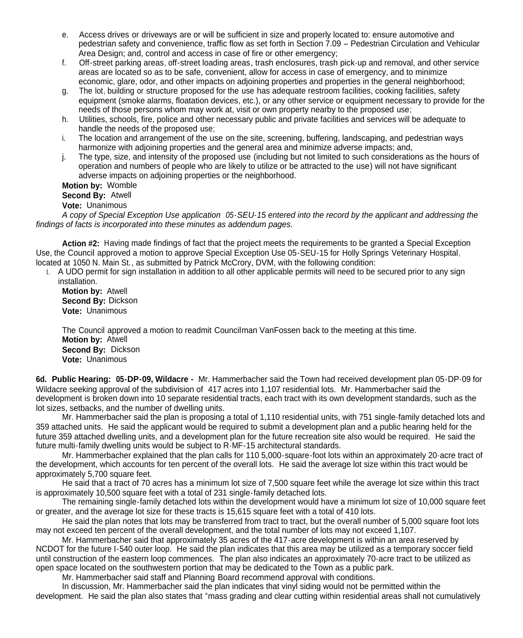- e. Access drives or driveways are or will be sufficient in size and properly located to: ensure automotive and pedestrian safety and convenience, traffic flow as set forth in Section 7.09 – Pedestrian Circulation and Vehicular Area Design; and, control and access in case of fire or other emergency;
- f. Off-street parking areas, off-street loading areas, trash enclosures, trash pick-up and removal, and other service areas are located so as to be safe, convenient, allow for access in case of emergency, and to minimize economic, glare, odor, and other impacts on adjoining properties and properties in the general neighborhood;
- g. The lot, building or structure proposed for the use has adequate restroom facilities, cooking facilities, safety equipment (smoke alarms, floatation devices, etc.), or any other service or equipment necessary to provide for the needs of those persons whom may work at, visit or own property nearby to the proposed use;
- h. Utilities, schools, fire, police and other necessary public and private facilities and services will be adequate to handle the needs of the proposed use;
- i. The location and arrangement of the use on the site, screening, buffering, landscaping, and pedestrian ways harmonize with adjoining properties and the general area and minimize adverse impacts; and,
- j. The type, size, and intensity of the proposed use (including but not limited to such considerations as the hours of operation and numbers of people who are likely to utilize or be attracted to the use) will not have significant adverse impacts on adjoining properties or the neighborhood.

**Motion by:** Womble **Second By:** Atwell

**Vote:** Unanimous

*A copy of Special Exception Use application 05-SEU-15 entered into the record by the applicant and addressing the findings of facts is incorporated into these minutes as addendum pages.*

**Action #2:** Having made findings of fact that the project meets the requirements to be granted a Special Exception Use, the Council approved a motion to approve Special Exception Use 05-SEU-15 for Holly Springs Veterinary Hospital, located at 1050 N. Main St., as submitted by Patrick McCrory, DVM, with the following condition:

1. A UDO permit for sign installation in addition to all other applicable permits will need to be secured prior to any sign installation.

**Motion by:** Atwell **Second By:** Dickson **Vote:** Unanimous

The Council approved a motion to readmit Councilman VanFossen back to the meeting at this time. **Motion by:** Atwell **Second By:** Dickson **Vote:** Unanimous

**6d. Public Hearing: 05-DP-09, Wildacre -** Mr. Hammerbacher said the Town had received development plan 05-DP-09 for Wildacre seeking approval of the subdivision of 417 acres into 1,107 residential lots. Mr. Hammerbacher said the development is broken down into 10 separate residential tracts, each tract with its own development standards, such as the lot sizes, setbacks, and the number of dwelling units.

Mr. Hammerbacher said the plan is proposing a total of 1,110 residential units, with 751 single-family detached lots and 359 attached units. He said the applicant would be required to submit a development plan and a public hearing held for the future 359 attached dwelling units, and a development plan for the future recreation site also would be required. He said the future multi-family dwelling units would be subject to R-MF-15 architectural standards.

Mr. Hammerbacher explained that the plan calls for 110 5,000-square-foot lots within an approximately 20-acre tract of the development, which accounts for ten percent of the overall lots. He said the average lot size within this tract would be approximately 5,700 square feet.

He said that a tract of 70 acres has a minimum lot size of 7,500 square feet while the average lot size within this tract is approximately 10,500 square feet with a total of 231 single-family detached lots.

The remaining single-family detached lots within the development would have a minimum lot size of 10,000 square feet or greater, and the average lot size for these tracts is 15,615 square feet with a total of 410 lots.

He said the plan notes that lots may be transferred from tract to tract, but the overall number of 5,000 square foot lots may not exceed ten percent of the overall development, and the total number of lots may not exceed 1,107.

Mr. Hammerbacher said that approximately 35 acres of the 417-acre development is within an area reserved by NCDOT for the future I-540 outer loop. He said the plan indicates that this area may be utilized as a temporary soccer field until construction of the eastern loop commences. The plan also indicates an approximately 70-acre tract to be utilized as open space located on the southwestern portion that may be dedicated to the Town as a public park.

Mr. Hammerbacher said staff and Planning Board recommend approval with conditions.

In discussion, Mr. Hammerbacher said the plan indicates that vinyl siding would not be permitted within the development. He said the plan also states that "mass grading and clear cutting within residential areas shall not cumulatively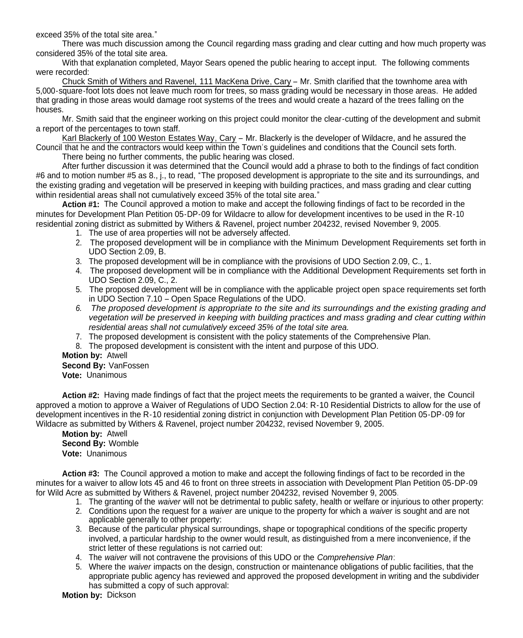exceed 35% of the total site area."

There was much discussion among the Council regarding mass grading and clear cutting and how much property was considered 35% of the total site area.

With that explanation completed, Mayor Sears opened the public hearing to accept input. The following comments were recorded:

Chuck Smith of Withers and Ravenel, 111 MacKena Drive, Cary – Mr. Smith clarified that the townhome area with 5,000-square-foot lots does not leave much room for trees, so mass grading would be necessary in those areas. He added that grading in those areas would damage root systems of the trees and would create a hazard of the trees falling on the houses.

Mr. Smith said that the engineer working on this project could monitor the clear-cutting of the development and submit a report of the percentages to town staff.

Karl Blackerly of 100 Weston Estates Way, Cary – Mr. Blackerly is the developer of Wildacre, and he assured the Council that he and the contractors would keep within the Town's guidelines and conditions that the Council sets forth. There being no further comments, the public hearing was closed.

After further discussion it was determined that the Council would add a phrase to both to the findings of fact condition #6 and to motion number #5 as 8., j., to read, "The proposed development is appropriate to the site and its surroundings, and the existing grading and vegetation will be preserved in keeping with building practices, and mass grading and clear cutting within residential areas shall not cumulatively exceed 35% of the total site area."

**Action #1:** The Council approved a motion to make and accept the following findings of fact to be recorded in the minutes for Development Plan Petition 05-DP-09 for Wildacre to allow for development incentives to be used in the R-10 residential zoning district as submitted by Withers & Ravenel, project number 204232, revised November 9, 2005.

- 1. The use of area properties will not be adversely affected.
- 2. The proposed development will be in compliance with the Minimum Development Requirements set forth in UDO Section 2.09, B.
- 3. The proposed development will be in compliance with the provisions of UDO Section 2.09, C., 1.
- 4. The proposed development will be in compliance with the Additional Development Requirements set forth in UDO Section 2.09, C., 2.
- 5. The proposed development will be in compliance with the applicable project open space requirements set forth in UDO Section 7.10 – Open Space Regulations of the UDO.
- *6. The proposed development is appropriate to the site and its surroundings and the existing grading and vegetation will be preserved in keeping with building practices and mass grading and clear cutting within residential areas shall not cumulatively exceed 35% of the total site area.*
- 7. The proposed development is consistent with the policy statements of the Comprehensive Plan.
- 8. The proposed development is consistent with the intent and purpose of this UDO.

**Motion by:** Atwell

**Second By:** VanFossen **Vote:** Unanimous

**Action #2:** Having made findings of fact that the project meets the requirements to be granted a waiver, the Council approved a motion to approve a Waiver of Regulations of UDO Section 2.04: R-10 Residential Districts to allow for the use of development incentives in the R-10 residential zoning district in conjunction with Development Plan Petition 05-DP-09 for Wildacre as submitted by Withers & Ravenel, project number 204232, revised November 9, 2005.

**Motion by:** Atwell **Second By:** Womble **Vote:** Unanimous

**Action #3:** The Council approved a motion to make and accept the following findings of fact to be recorded in the minutes for a waiver to allow lots 45 and 46 to front on three streets in association with Development Plan Petition 05-DP-09 for Wild Acre as submitted by Withers & Ravenel, project number 204232, revised November 9, 2005.

- 1. The granting of the *waiver* will not be detrimental to public safety, health or welfare or injurious to other property:
- 2. Conditions upon the request for a *waiver* are unique to the property for which a *waiver* is sought and are not applicable generally to other property:
- 3. Because of the particular physical surroundings, shape or topographical conditions of the specific property involved, a particular hardship to the owner would result, as distinguished from a mere inconvenience, if the strict letter of these regulations is not carried out:
- 4. The *waiver* will not contravene the provisions of this UDO or the *Comprehensive Plan*:
- 5. Where the *waiver* impacts on the design, construction or maintenance obligations of public facilities, that the appropriate public agency has reviewed and approved the proposed development in writing and the subdivider has submitted a copy of such approval:

**Motion by:** Dickson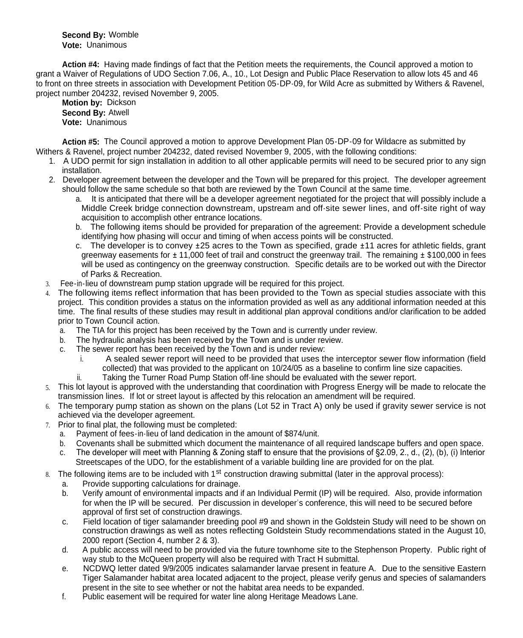**Second By:** Womble **Vote:** Unanimous

**Action #4:** Having made findings of fact that the Petition meets the requirements, the Council approved a motion to grant a Waiver of Regulations of UDO Section 7.06, A., 10., Lot Design and Public Place Reservation to allow lots 45 and 46 to front on three streets in association with Development Petition 05-DP-09, for Wild Acre as submitted by Withers & Ravenel, project number 204232, revised November 9, 2005.

**Motion by:** Dickson

**Second By:** Atwell **Vote:** Unanimous

**Action #5:** The Council approved a motion to approve Development Plan 05-DP-09 for Wildacre as submitted by Withers & Ravenel, project number 204232, dated revised November 9, 2005, with the following conditions:

- 1. A UDO permit for sign installation in addition to all other applicable permits will need to be secured prior to any sign installation.
- 2. Developer agreement between the developer and the Town will be prepared for this project. The developer agreement should follow the same schedule so that both are reviewed by the Town Council at the same time.
	- a. It is anticipated that there will be a developer agreement negotiated for the project that will possibly include a Middle Creek bridge connection downstream, upstream and off-site sewer lines, and off-site right of way acquisition to accomplish other entrance locations.
	- b. The following items should be provided for preparation of the agreement: Provide a development schedule identifying how phasing will occur and timing of when access points will be constructed.
	- c. The developer is to convey ±25 acres to the Town as specified, grade ±11 acres for athletic fields, grant greenway easements for  $\pm$  11,000 feet of trail and construct the greenway trail. The remaining  $\pm$  \$100,000 in fees will be used as contingency on the greenway construction. Specific details are to be worked out with the Director of Parks & Recreation.
- 3. Fee-in-lieu of downstream pump station upgrade will be required for this project.
- 4. The following items reflect information that has been provided to the Town as special studies associate with this project. This condition provides a status on the information provided as well as any additional information needed at this time. The final results of these studies may result in additional plan approval conditions and/or clarification to be added prior to Town Council action.
	- a. The TIA for this project has been received by the Town and is currently under review.
	- b. The hydraulic analysis has been received by the Town and is under review.
	- c. The sewer report has been received by the Town and is under review:
		- i. A sealed sewer report will need to be provided that uses the interceptor sewer flow information (field collected) that was provided to the applicant on 10/24/05 as a baseline to confirm line size capacities.
		- ii. Taking the Turner Road Pump Station off-line should be evaluated with the sewer report.
- 5. This lot layout is approved with the understanding that coordination with Progress Energy will be made to relocate the transmission lines. If lot or street layout is affected by this relocation an amendment will be required.
- 6. The temporary pump station as shown on the plans (Lot 52 in Tract A) only be used if gravity sewer service is not achieved via the developer agreement.
- 7. Prior to final plat, the following must be completed:
	- a. Payment of fees-in-lieu of land dedication in the amount of \$874/unit.
	- b. Covenants shall be submitted which document the maintenance of all required landscape buffers and open space.
	- c. The developer will meet with Planning & Zoning staff to ensure that the provisions of §2.09, 2., d., (2), (b), (i) Interior Streetscapes of the UDO, for the establishment of a variable building line are provided for on the plat.
- 8. The following items are to be included with  $1<sup>st</sup>$  construction drawing submittal (later in the approval process):
	- a. Provide supporting calculations for drainage.
	- b. Verify amount of environmental impacts and if an Individual Permit (IP) will be required. Also, provide information for when the IP will be secured. Per discussion in developer's conference, this will need to be secured before approval of first set of construction drawings.
	- c. Field location of tiger salamander breeding pool #9 and shown in the Goldstein Study will need to be shown on construction drawings as well as notes reflecting Goldstein Study recommendations stated in the August 10, 2000 report (Section 4, number 2 & 3).
	- d. A public access will need to be provided via the future townhome site to the Stephenson Property. Public right of way stub to the McQueen property will also be required with Tract H submittal.
	- e. NCDWQ letter dated 9/9/2005 indicates salamander larvae present in feature A. Due to the sensitive Eastern Tiger Salamander habitat area located adjacent to the project, please verify genus and species of salamanders present in the site to see whether or not the habitat area needs to be expanded.
	- f. Public easement will be required for water line along Heritage Meadows Lane.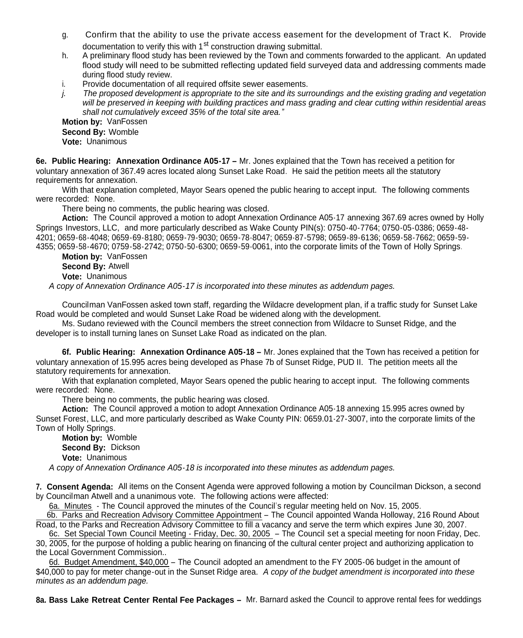- g. Confirm that the ability to use the private access easement for the development of Tract K. Provide documentation to verify this with 1<sup>st</sup> construction drawing submittal.
- h. A preliminary flood study has been reviewed by the Town and comments forwarded to the applicant. An updated flood study will need to be submitted reflecting updated field surveyed data and addressing comments made during flood study review.
- i. Provide documentation of all required offsite sewer easements.
- *j. The proposed development is appropriate to the site and its surroundings and the existing grading and vegetation will be preserved in keeping with building practices and mass grading and clear cutting within residential areas shall not cumulatively exceed 35% of the total site area."*

**Motion by:** VanFossen **Second By:** Womble **Vote:** Unanimous

**6e. Public Hearing: Annexation Ordinance A05-17 –** Mr. Jones explained that the Town has received a petition for voluntary annexation of 367.49 acres located along Sunset Lake Road. He said the petition meets all the statutory requirements for annexation.

With that explanation completed, Mayor Sears opened the public hearing to accept input. The following comments were recorded: None.

There being no comments, the public hearing was closed.

**Action:** The Council approved a motion to adopt Annexation Ordinance A05-17 annexing 367.69 acres owned by Holly Springs Investors, LLC, and more particularly described as Wake County PIN(s): 0750-40-7764; 0750-05-0386; 0659-48- 4201; 0659-68-4048; 0659-69-8180; 0659-79-9030; 0659-78-8047; 0659-87-5798; 0659-89-6136; 0659-58-7662; 0659-59- 4355; 0659-58-4670; 0759-58-2742; 0750-50-6300; 0659-59-0061, into the corporate limits of the Town of Holly Springs.

**Motion by:** VanFossen **Second By:** Atwell **Vote:** Unanimous

*A copy of Annexation Ordinance A05-17 is incorporated into these minutes as addendum pages.*

Councilman VanFossen asked town staff, regarding the Wildacre development plan, if a traffic study for Sunset Lake Road would be completed and would Sunset Lake Road be widened along with the development.

Ms. Sudano reviewed with the Council members the street connection from Wildacre to Sunset Ridge, and the developer is to install turning lanes on Sunset Lake Road as indicated on the plan.

**6f. Public Hearing: Annexation Ordinance A05-18 –** Mr. Jones explained that the Town has received a petition for voluntary annexation of 15.995 acres being developed as Phase 7b of Sunset Ridge, PUD II. The petition meets all the statutory requirements for annexation.

With that explanation completed, Mayor Sears opened the public hearing to accept input. The following comments were recorded: None.

There being no comments, the public hearing was closed.

**Action:** The Council approved a motion to adopt Annexation Ordinance A05-18 annexing 15.995 acres owned by Sunset Forest, LLC, and more particularly described as Wake County PIN: 0659.01-27-3007, into the corporate limits of the Town of Holly Springs.

**Motion by:** Womble **Second By:** Dickson **Vote:** Unanimous

*A copy of Annexation Ordinance A05-18 is incorporated into these minutes as addendum pages.*

**7. Consent Agenda:** All items on the Consent Agenda were approved following a motion by Councilman Dickson, a second by Councilman Atwell and a unanimous vote. The following actions were affected:

6a. Minutes - The Council approved the minutes of the Council's regular meeting held on Nov. 15, 2005.

6b. Parks and Recreation Advisory Committee Appointment – The Council appointed Wanda Holloway, 216 Round About Road, to the Parks and Recreation Advisory Committee to fill a vacancy and serve the term which expires June 30, 2007.

6c. Set Special Town Council Meeting - Friday, Dec. 30, 2005 – The Council set a special meeting for noon Friday, Dec. 30, 2005, for the purpose of holding a public hearing on financing of the cultural center project and authorizing application to the Local Government Commission..

6d. Budget Amendment, \$40,000 – The Council adopted an amendment to the FY 2005-06 budget in the amount of \$40,000 to pay for meter change-out in the Sunset Ridge area. *A copy of the budget amendment is incorporated into these minutes as an addendum page.*

**8a. Bass Lake Retreat Center Rental Fee Packages –** Mr. Barnard asked the Council to approve rental fees for weddings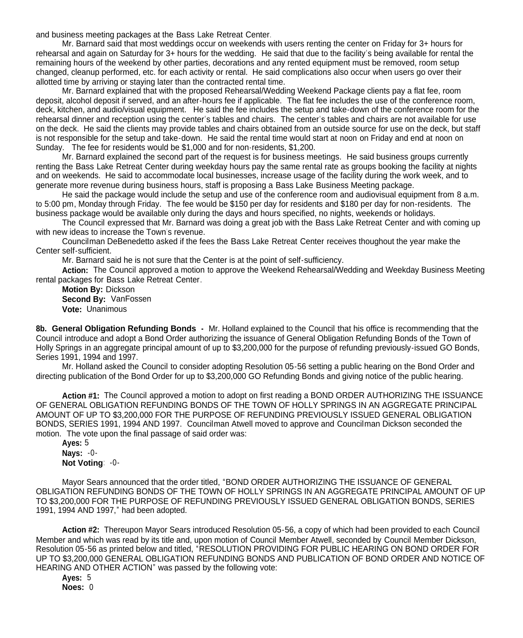and business meeting packages at the Bass Lake Retreat Center.

Mr. Barnard said that most weddings occur on weekends with users renting the center on Friday for 3+ hours for rehearsal and again on Saturday for 3+ hours for the wedding. He said that due to the facility's being available for rental the remaining hours of the weekend by other parties, decorations and any rented equipment must be removed, room setup changed, cleanup performed, etc. for each activity or rental. He said complications also occur when users go over their allotted time by arriving or staying later than the contracted rental time.

Mr. Barnard explained that with the proposed Rehearsal/Wedding Weekend Package clients pay a flat fee, room deposit, alcohol deposit if served, and an after-hours fee if applicable. The flat fee includes the use of the conference room, deck, kitchen, and audio/visual equipment. He said the fee includes the setup and take-down of the conference room for the rehearsal dinner and reception using the center's tables and chairs. The center's tables and chairs are not available for use on the deck. He said the clients may provide tables and chairs obtained from an outside source for use on the deck, but staff is not responsible for the setup and take-down. He said the rental time would start at noon on Friday and end at noon on Sunday. The fee for residents would be \$1,000 and for non-residents, \$1,200.

Mr. Barnard explained the second part of the request is for business meetings. He said business groups currently renting the Bass Lake Retreat Center during weekday hours pay the same rental rate as groups booking the facility at nights and on weekends. He said to accommodate local businesses, increase usage of the facility during the work week, and to generate more revenue during business hours, staff is proposing a Bass Lake Business Meeting package.

He said the package would include the setup and use of the conference room and audiovisual equipment from 8 a.m. to 5:00 pm, Monday through Friday. The fee would be \$150 per day for residents and \$180 per day for non-residents. The business package would be available only during the days and hours specified, no nights, weekends or holidays.

The Council expressed that Mr. Barnard was doing a great job with the Bass Lake Retreat Center and with coming up with new ideas to increase the Town's revenue.

Councilman DeBenedetto asked if the fees the Bass Lake Retreat Center receives thoughout the year make the Center self-sufficient.

Mr. Barnard said he is not sure that the Center is at the point of self-sufficiency.

**Action:** The Council approved a motion to approve the Weekend Rehearsal/Wedding and Weekday Business Meeting rental packages for Bass Lake Retreat Center.

**Motion By:** Dickson **Second By:** VanFossen **Vote:** Unanimous

**8b. General Obligation Refunding Bonds -** Mr. Holland explained to the Council that his office is recommending that the Council introduce and adopt a Bond Order authorizing the issuance of General Obligation Refunding Bonds of the Town of Holly Springs in an aggregate principal amount of up to \$3,200,000 for the purpose of refunding previously-issued GO Bonds, Series 1991, 1994 and 1997.

Mr. Holland asked the Council to consider adopting Resolution 05-56 setting a public hearing on the Bond Order and directing publication of the Bond Order for up to \$3,200,000 GO Refunding Bonds and giving notice of the public hearing.

**Action #1:** The Council approved a motion to adopt on first reading a BOND ORDER AUTHORIZING THE ISSUANCE OF GENERAL OBLIGATION REFUNDING BONDS OF THE TOWN OF HOLLY SPRINGS IN AN AGGREGATE PRINCIPAL AMOUNT OF UP TO \$3,200,000 FOR THE PURPOSE OF REFUNDING PREVIOUSLY ISSUED GENERAL OBLIGATION BONDS, SERIES 1991, 1994 AND 1997. Councilman Atwell moved to approve and Councilman Dickson seconded the motion. The vote upon the final passage of said order was:

**Ayes:** 5 **Nays:** -0- **Not Voting**: -0-

Mayor Sears announced that the order titled, "BOND ORDER AUTHORIZING THE ISSUANCE OF GENERAL OBLIGATION REFUNDING BONDS OF THE TOWN OF HOLLY SPRINGS IN AN AGGREGATE PRINCIPAL AMOUNT OF UP TO \$3,200,000 FOR THE PURPOSE OF REFUNDING PREVIOUSLY ISSUED GENERAL OBLIGATION BONDS, SERIES 1991, 1994 AND 1997," had been adopted.

**Action #2:** Thereupon Mayor Sears introduced Resolution 05-56, a copy of which had been provided to each Council Member and which was read by its title and, upon motion of Council Member Atwell, seconded by Council Member Dickson, Resolution 05-56 as printed below and titled, "RESOLUTION PROVIDING FOR PUBLIC HEARING ON BOND ORDER FOR UP TO \$3,200,000 GENERAL OBLIGATION REFUNDING BONDS AND PUBLICATION OF BOND ORDER AND NOTICE OF HEARING AND OTHER ACTION" was passed by the following vote:

**Ayes:** 5 **Noes:** 0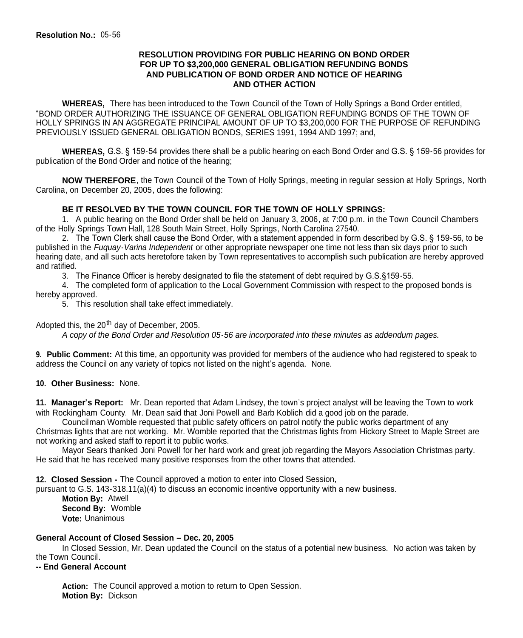### **RESOLUTION PROVIDING FOR PUBLIC HEARING ON BOND ORDER FOR UP TO \$3,200,000 GENERAL OBLIGATION REFUNDING BONDS AND PUBLICATION OF BOND ORDER AND NOTICE OF HEARING AND OTHER ACTION**

**WHEREAS,** There has been introduced to the Town Council of the Town of Holly Springs a Bond Order entitled, "BOND ORDER AUTHORIZING THE ISSUANCE OF GENERAL OBLIGATION REFUNDING BONDS OF THE TOWN OF HOLLY SPRINGS IN AN AGGREGATE PRINCIPAL AMOUNT OF UP TO \$3,200,000 FOR THE PURPOSE OF REFUNDING PREVIOUSLY ISSUED GENERAL OBLIGATION BONDS, SERIES 1991, 1994 AND 1997; and,

**WHEREAS,** G.S. § 159-54 provides there shall be a public hearing on each Bond Order and G.S. § 159-56 provides for publication of the Bond Order and notice of the hearing;

**NOW THEREFORE**, the Town Council of the Town of Holly Springs, meeting in regular session at Holly Springs, North Carolina, on December 20, 2005, does the following:

## **BE IT RESOLVED BY THE TOWN COUNCIL FOR THE TOWN OF HOLLY SPRINGS:**

1. A public hearing on the Bond Order shall be held on January 3, 2006, at 7:00 p.m. in the Town Council Chambers of the Holly Springs Town Hall, 128 South Main Street, Holly Springs, North Carolina 27540.

2. The Town Clerk shall cause the Bond Order, with a statement appended in form described by G.S. § 159-56, to be published in the *Fuquay-Varina Independent* or other appropriate newspaper one time not less than six days prior to such hearing date, and all such acts heretofore taken by Town representatives to accomplish such publication are hereby approved and ratified.

3. The Finance Officer is hereby designated to file the statement of debt required by G.S.§159-55.

4. The completed form of application to the Local Government Commission with respect to the proposed bonds is hereby approved.

5. This resolution shall take effect immediately.

Adopted this, the  $20<sup>th</sup>$  day of December, 2005.

*A copy of the Bond Order and Resolution 05-56 are incorporated into these minutes as addendum pages.*

**9. Public Comment:** At this time, an opportunity was provided for members of the audience who had registered to speak to address the Council on any variety of topics not listed on the night's agenda. None.

### **10. Other Business:** None.

**11. Manager's Report:** Mr. Dean reported that Adam Lindsey, the town's project analyst will be leaving the Town to work with Rockingham County. Mr. Dean said that Joni Powell and Barb Koblich did a good job on the parade.

Councilman Womble requested that public safety officers on patrol notify the public works department of any Christmas lights that are not working. Mr. Womble reported that the Christmas lights from Hickory Street to Maple Street are not working and asked staff to report it to public works.

Mayor Sears thanked Joni Powell for her hard work and great job regarding the Mayors Association Christmas party. He said that he has received many positive responses from the other towns that attended.

**12. Closed Session -** The Council approved a motion to enter into Closed Session,

pursuant to G.S. 143-318.11(a)(4) to discuss an economic incentive opportunity with a new business.

**Motion By:** Atwell **Second By:** Womble **Vote:** Unanimous

### **General Account of Closed Session – Dec. 20, 2005**

In Closed Session, Mr. Dean updated the Council on the status of a potential new business. No action was taken by the Town Council.

**-- End General Account**

**Action:** The Council approved a motion to return to Open Session. **Motion By:** Dickson